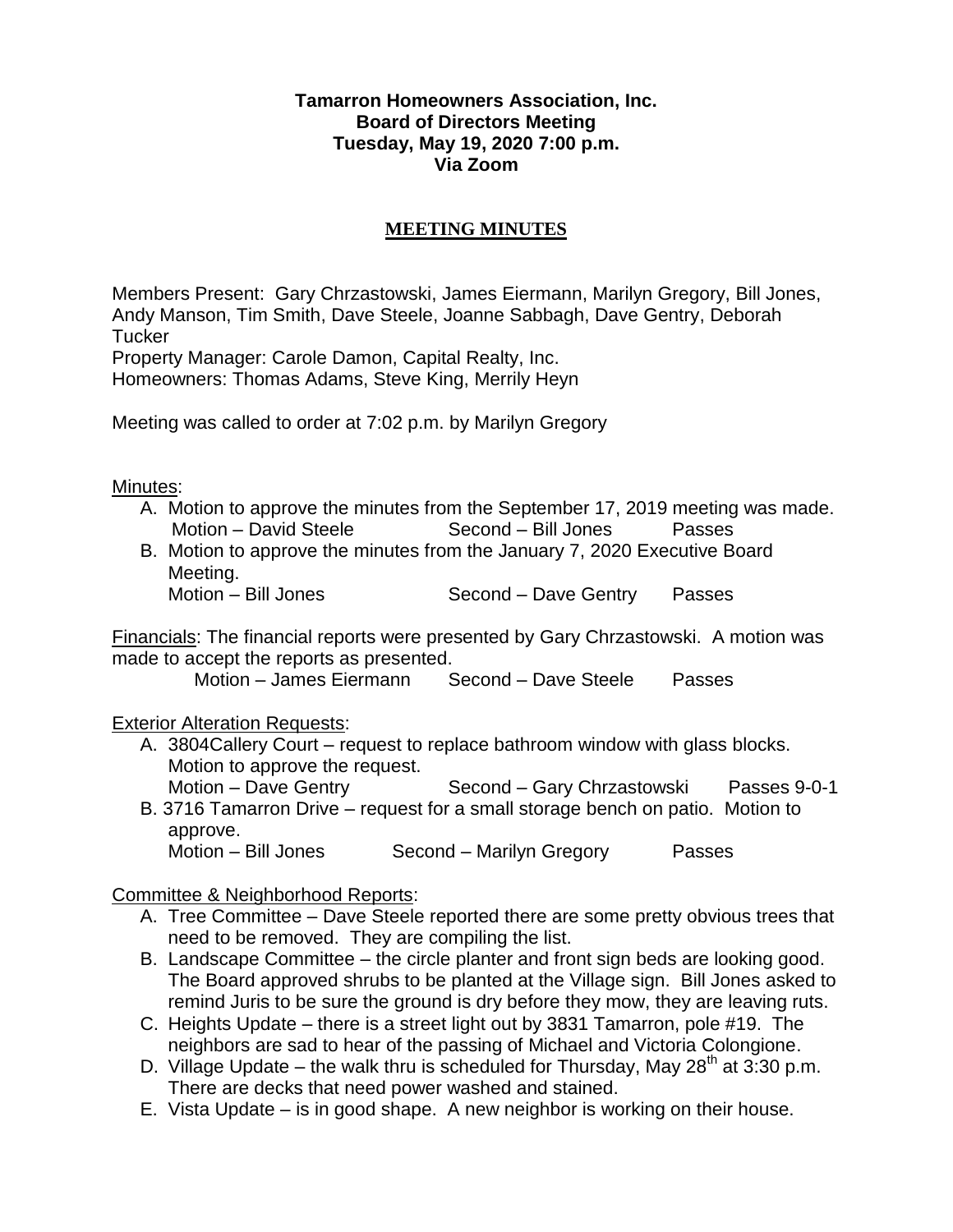#### **Tamarron Homeowners Association, Inc. Board of Directors Meeting Tuesday, May 19, 2020 7:00 p.m. Via Zoom**

# **MEETING MINUTES**

Members Present: Gary Chrzastowski, James Eiermann, Marilyn Gregory, Bill Jones, Andy Manson, Tim Smith, Dave Steele, Joanne Sabbagh, Dave Gentry, Deborah **Tucker** 

Property Manager: Carole Damon, Capital Realty, Inc.

Homeowners: Thomas Adams, Steve King, Merrily Heyn

Meeting was called to order at 7:02 p.m. by Marilyn Gregory

#### Minutes:

- A. Motion to approve the minutes from the September 17, 2019 meeting was made. Motion – David Steele Second – Bill Jones Passes
- B. Motion to approve the minutes from the January 7, 2020 Executive Board Meeting.

Motion – Bill Jones Second – Dave Gentry Passes

Financials: The financial reports were presented by Gary Chrzastowski. A motion was made to accept the reports as presented.

Motion – James Eiermann Second – Dave Steele Passes

## Exterior Alteration Requests:

- A. 3804Callery Court request to replace bathroom window with glass blocks. Motion to approve the request. Motion – Dave Gentry Second – Gary Chrzastowski Passes 9-0-1
- B. 3716 Tamarron Drive request for a small storage bench on patio. Motion to approve. Motion – Bill Jones Second – Marilyn Gregory Passes

## Committee & Neighborhood Reports:

- A. Tree Committee Dave Steele reported there are some pretty obvious trees that need to be removed. They are compiling the list.
- B. Landscape Committee the circle planter and front sign beds are looking good. The Board approved shrubs to be planted at the Village sign. Bill Jones asked to remind Juris to be sure the ground is dry before they mow, they are leaving ruts.
- C. Heights Update there is a street light out by 3831 Tamarron, pole #19. The neighbors are sad to hear of the passing of Michael and Victoria Colongione.
- D. Village Update the walk thru is scheduled for Thursday, May  $28<sup>th</sup>$  at 3:30 p.m. There are decks that need power washed and stained.
- E. Vista Update is in good shape. A new neighbor is working on their house.